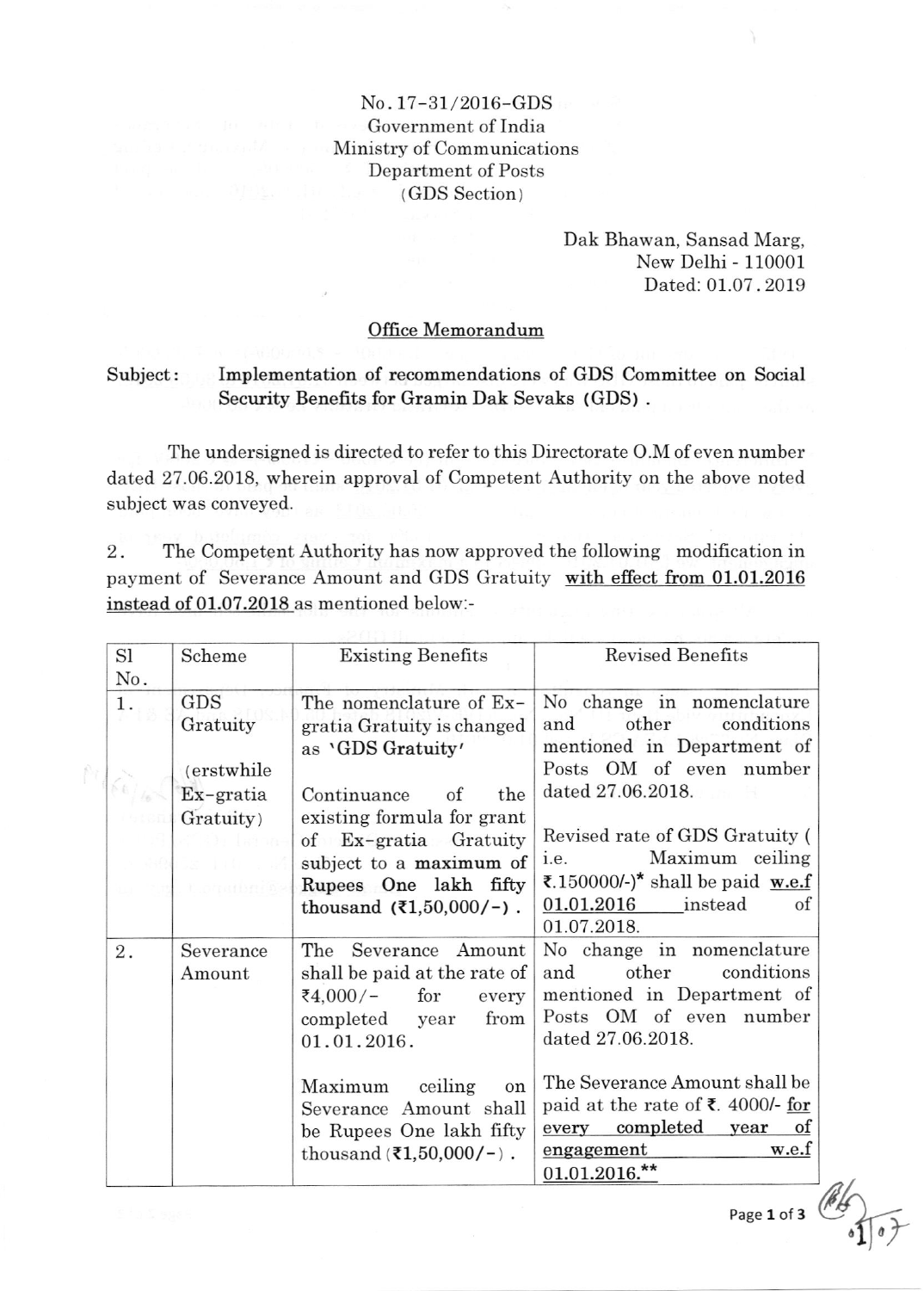## No.17-31/2016-GDS Government of India Ministry of Communications Department of Posts ( GDS Section )

Dak Bhawan, Sansad Marg, New Delhi - 110001 Dated: 01.07.2019

## Office Memorandum

## Subject: Implementation of recommendations of GDS Committee on Social Security Benefits for Gramin Dak Sevaks (GDS) .

The undersigned is directed to refer to this Directorate O.M of even number dated 27.06.2018, wherein approval of Competent Authority on the above noted subject was conveyed.

2. The Competent Authority has now approved the following modification in payment of Severance Amount and GDS Gratuity with effect from 01.01.2016 instead of 01.07.2018 as mentioned below:-

| S1        | Scheme             | <b>Existing Benefits</b>                     | <b>Revised Benefits</b>           |
|-----------|--------------------|----------------------------------------------|-----------------------------------|
| No.<br>1. | GDS                | The nomenclature of Ex-                      | No change in nomenclature         |
|           | Gratuity           | gratia Gratuity is changed                   | conditions<br>and<br>other        |
|           |                    | as 'GDS Gratuity'                            | mentioned in Department of        |
|           | <i>(erstwhile)</i> |                                              | Posts OM of even number           |
| 1/6       | $Ex-gratia$        | of<br>the<br>Continuance                     | dated 27.06.2018.                 |
|           | Gratuity)          | existing formula for grant                   |                                   |
|           | Wan Indone         | of Ex-gratia Gratuity                        | Revised rate of GDS Gratuity (    |
|           | in Williams        | subject to a maximum of                      | Maximum ceiling<br>i.e.           |
|           | t oratheras        | Rupees One lakh fifty                        | ₹.150000/-)* shall be paid w.e.f  |
|           |                    | thousand $(31,50,000/-)$ .                   | 01.01.2016<br>instead<br>of       |
|           |                    |                                              | 01.07.2018.                       |
| $2$ .     | Severance          | The Severance Amount                         | No change in nomenclature         |
|           | Amount             | shall be paid at the rate of                 | conditions<br>other<br>and        |
|           |                    | for<br>₹4,000⁄−<br>every                     | mentioned in Department of        |
|           |                    | from<br>completed year                       | Posts OM of even number           |
|           |                    | 01.01.2016.                                  | dated 27.06.2018.                 |
|           |                    |                                              |                                   |
|           |                    | Maximum ceiling<br>on                        | The Severance Amount shall be     |
|           |                    | Severance Amount shall                       | paid at the rate of ₹. 4000/- for |
|           |                    | be Rupees One lakh fifty                     | every completed year of           |
|           |                    | thousand $(\bar{\mathbf{z}}_1, 50, 000/-)$ . | engagement<br>w.e.f               |
|           |                    |                                              | $01.01.2016.*$                    |

Page 1 of 3

a 7 | a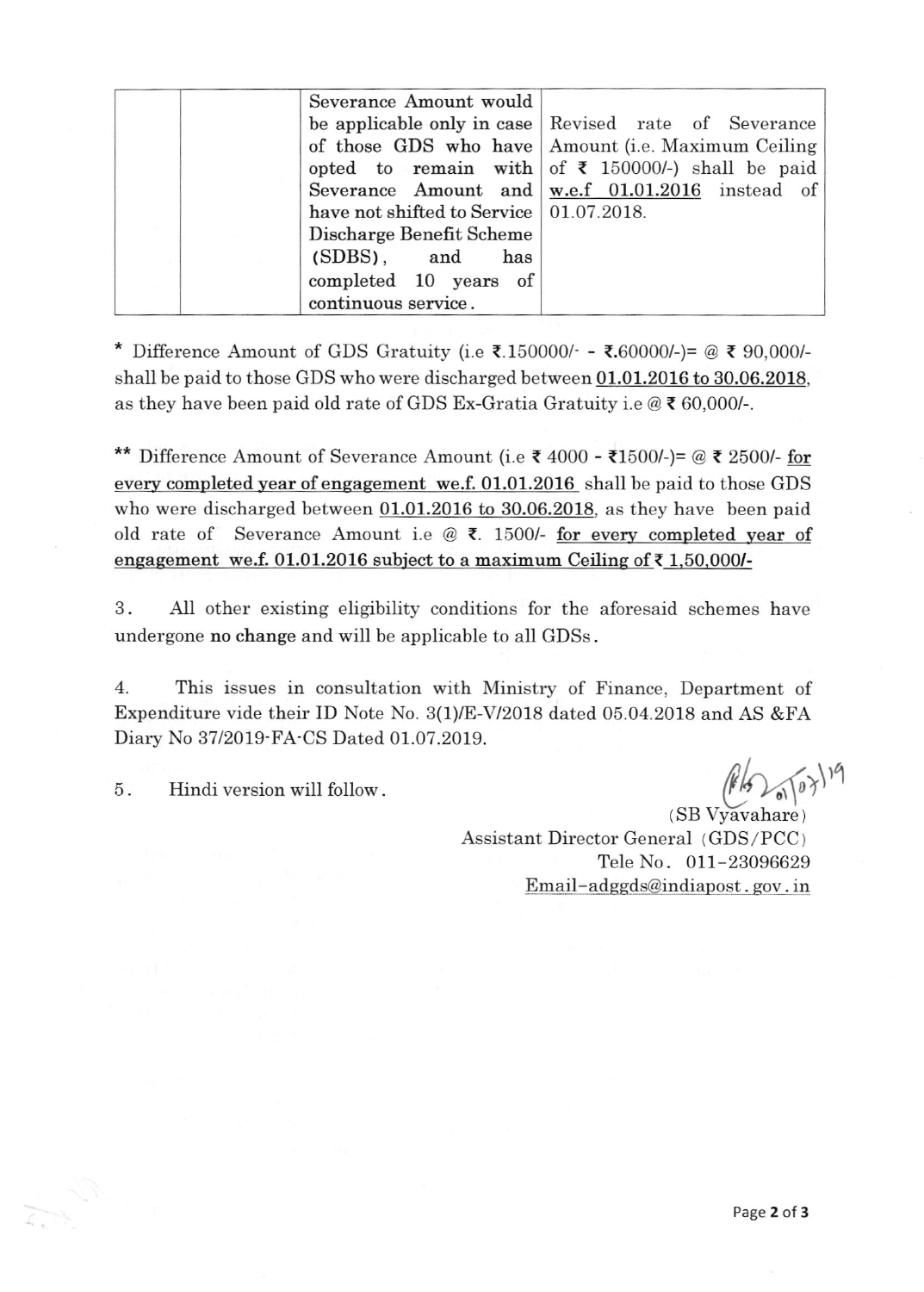| Severance Amount would                    |                                                              |
|-------------------------------------------|--------------------------------------------------------------|
|                                           | be applicable only in case Revised rate of Severance         |
|                                           | of those GDS who have Amount (i.e. Maximum Ceiling           |
|                                           | opted to remain with of $\bar{\tau}$ 150000/-) shall be paid |
|                                           | Severance Amount and $w.e.f$ 01.01.2016 instead of           |
| have not shifted to Service   01.07.2018. |                                                              |
| Discharge Benefit Scheme                  |                                                              |
| $(SDBS)$ , and<br>has                     |                                                              |
| completed 10 years of                     |                                                              |
| continuous service.                       |                                                              |

\* Difference Amount of GDS Gratuity (i.e  $\bar{\mathbf{z}}$ .150000/- -  $\bar{\mathbf{z}}$ .60000/-)= @  $\bar{\mathbf{z}}$  90,000/shall be paid to those GDS who were discharged between 01.01.2016 to 30.06,2018, as they have been paid old rate of GDS Ex-Gratia Gratuity i.e  $@ \xi 60,000$ /-.

\*\* Difference Amount of Severance Amount (i.e  $\bar{\tau}$  4000 -  $\bar{\tau}$ 1500/-)= @  $\bar{\tau}$  2500/- for every completed year of engagement we.f. 01.01.2016 shall be paid to those GDS who were discharged between 01.01.2016 to 30.06.2018, as they have been paid old rate of Severance Amount i.e @  $\bar{\tau}$ . 1500/- for every completed year of engagement we.f. 01.01.2016 subject to a maximum Ceiling of  $\bar{\tau}$  1.50,000/-

3. AII other existing eligibility conditions for the aforesaid schemes have undergone no change and wiII be applicable to aII GDSs .

4. This issues in consultation with Ministry of Finance, Department of Expenditure vide their ID Note No. 3(1)/E-V/2018 dated 05.04.2018 and AS &FA Diary No 37/2019-FA-CS Dated 01.07.2019.

5. Hindi version will follow.  $(\sqrt{16})$ <sub>0</sub> $\sqrt{10}$ <sup>19</sup>

 $(SB Vyavahare)$ Assistant Director General ( GDS /PCC ) TeIe No. 011-23096629 Email-adggds@indiapost. gov. in